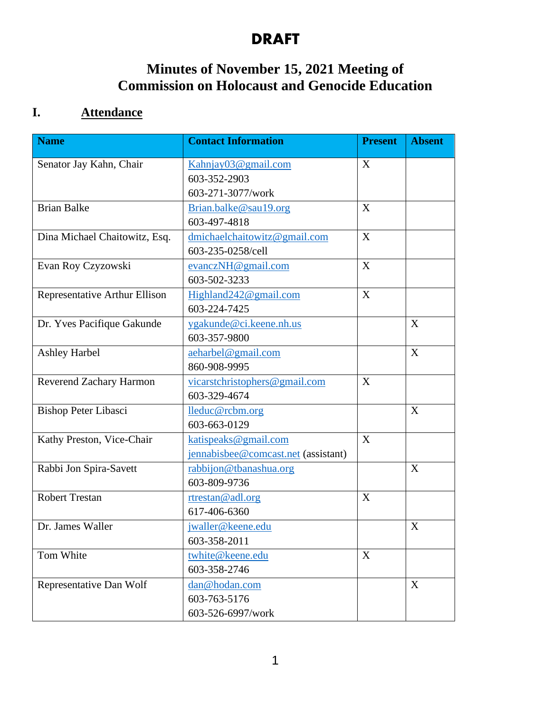## **Minutes of November 15, 2021 Meeting of Commission on Holocaust and Genocide Education**

## **I. Attendance**

| <b>Name</b>                   | <b>Contact Information</b>          | <b>Present</b> | <b>Absent</b> |
|-------------------------------|-------------------------------------|----------------|---------------|
| Senator Jay Kahn, Chair       | Kahnjay03@gmail.com                 | X              |               |
|                               | 603-352-2903                        |                |               |
|                               | 603-271-3077/work                   |                |               |
| <b>Brian Balke</b>            | Brian.balke@sau19.org               | X              |               |
|                               | 603-497-4818                        |                |               |
| Dina Michael Chaitowitz, Esq. | dmichaelchaitowitz@gmail.com        | X              |               |
|                               | 603-235-0258/cell                   |                |               |
| Evan Roy Czyzowski            | evanczNH@gmail.com                  | X              |               |
|                               | 603-502-3233                        |                |               |
| Representative Arthur Ellison | Highland242@gmail.com               | X              |               |
|                               | 603-224-7425                        |                |               |
| Dr. Yves Pacifique Gakunde    | ygakunde@ci.keene.nh.us             |                | X             |
|                               | 603-357-9800                        |                |               |
| <b>Ashley Harbel</b>          | aeharbel@gmail.com                  |                | X             |
|                               | 860-908-9995                        |                |               |
| Reverend Zachary Harmon       | vicarstchristophers@gmail.com       | X              |               |
|                               | 603-329-4674                        |                |               |
| <b>Bishop Peter Libasci</b>   | lleduc@rcbm.org                     |                | X             |
|                               | 603-663-0129                        |                |               |
| Kathy Preston, Vice-Chair     | katispeaks@gmail.com                | X              |               |
|                               | jennabisbee@comcast.net (assistant) |                |               |
| Rabbi Jon Spira-Savett        | rabbijon@tbanashua.org              |                | X             |
|                               | 603-809-9736                        |                |               |
| <b>Robert Trestan</b>         | rtrestan@adl.org                    | X              |               |
|                               | 617-406-6360                        |                |               |
| Dr. James Waller              | jwaller@keene.edu                   |                | X             |
|                               | 603-358-2011                        |                |               |
| Tom White                     | twhite@keene.edu                    | X              |               |
|                               | 603-358-2746                        |                |               |
| Representative Dan Wolf       | dan@hodan.com                       |                | X             |
|                               | 603-763-5176                        |                |               |
|                               | 603-526-6997/work                   |                |               |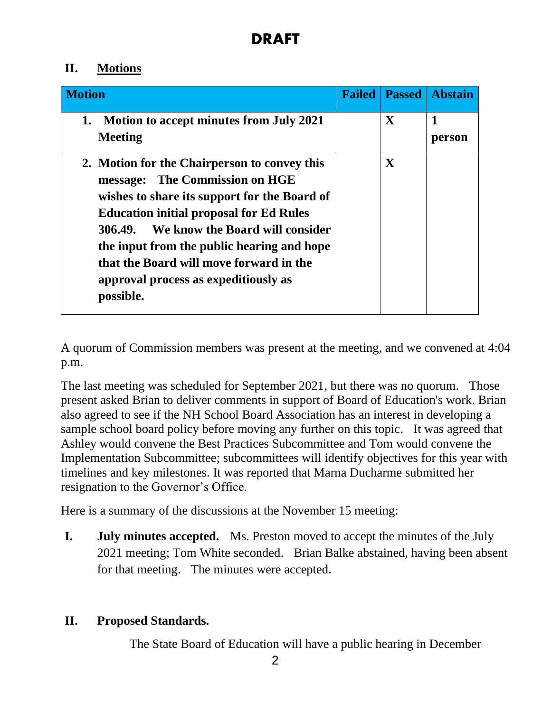## **II. Motions**

| <b>Motion</b>                                                                                                                                                                                                                                                                                                                                                                   | <b>Failed</b> | <b>Passed</b> | <b>Abstain</b> |
|---------------------------------------------------------------------------------------------------------------------------------------------------------------------------------------------------------------------------------------------------------------------------------------------------------------------------------------------------------------------------------|---------------|---------------|----------------|
| Motion to accept minutes from July 2021<br>1.<br><b>Meeting</b>                                                                                                                                                                                                                                                                                                                 |               | $\mathbf{X}$  | 1<br>person    |
| 2. Motion for the Chairperson to convey this<br>The Commission on HGE<br>message:<br>wishes to share its support for the Board of<br><b>Education initial proposal for Ed Rules</b><br>We know the Board will consider<br>306.49.<br>the input from the public hearing and hope<br>that the Board will move forward in the<br>approval process as expeditiously as<br>possible. |               | $\mathbf{X}$  |                |

A quorum of Commission members was present at the meeting, and we convened at 4:04 p.m.

The last meeting was scheduled for September 2021, but there was no quorum. Those present asked Brian to deliver comments in support of Board of Education's work. Brian also agreed to see if the NH School Board Association has an interest in developing a sample school board policy before moving any further on this topic. It was agreed that Ashley would convene the Best Practices Subcommittee and Tom would convene the Implementation Subcommittee; subcommittees will identify objectives for this year with timelines and key milestones. It was reported that Marna Ducharme submitted her resignation to the Governor's Office.

Here is a summary of the discussions at the November 15 meeting:

**I. July minutes accepted.** Ms. Preston moved to accept the minutes of the July 2021 meeting; Tom White seconded. Brian Balke abstained, having been absent for that meeting. The minutes were accepted.

## **II. Proposed Standards.**

The State Board of Education will have a public hearing in December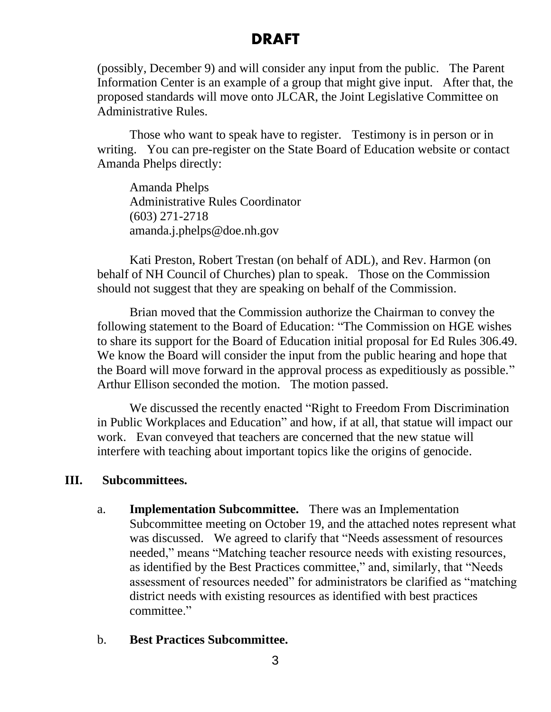(possibly, December 9) and will consider any input from the public. The Parent Information Center is an example of a group that might give input. After that, the proposed standards will move onto JLCAR, the Joint Legislative Committee on Administrative Rules.

Those who want to speak have to register. Testimony is in person or in writing. You can pre-register on the State Board of Education website or contact [Amanda](mailto:Amanda.J.Phelps@doe.nh.gov) Phelps directly:

Amanda Phelps Administrative Rules Coordinator (603) 271-2718 amanda.j.phelps@doe.nh.gov

Kati Preston, Robert Trestan (on behalf of ADL), and Rev. Harmon (on behalf of NH Council of Churches) plan to speak. Those on the Commission should not suggest that they are speaking on behalf of the Commission.

Brian moved that the Commission authorize the Chairman to convey the following statement to the Board of Education: "The Commission on HGE wishes to share its support for the Board of Education initial proposal for Ed Rules 306.49. We know the Board will consider the input from the public hearing and hope that the Board will move forward in the approval process as expeditiously as possible." Arthur Ellison seconded the motion. The motion passed.

We discussed the recently enacted "Right to Freedom From Discrimination in Public Workplaces and Education" and how, if at all, that statue will impact our work. Evan conveyed that teachers are concerned that the new statue will interfere with teaching about important topics like the origins of genocide.

### **III. Subcommittees.**

- a. **Implementation Subcommittee.** There was an Implementation Subcommittee meeting on October 19, and the attached notes represent what was discussed. We agreed to clarify that "Needs assessment of resources needed," means "Matching teacher resource needs with existing resources, as identified by the Best Practices committee," and, similarly, that "Needs assessment of resources needed" for administrators be clarified as "matching district needs with existing resources as identified with best practices committee."
- b. **Best Practices Subcommittee.**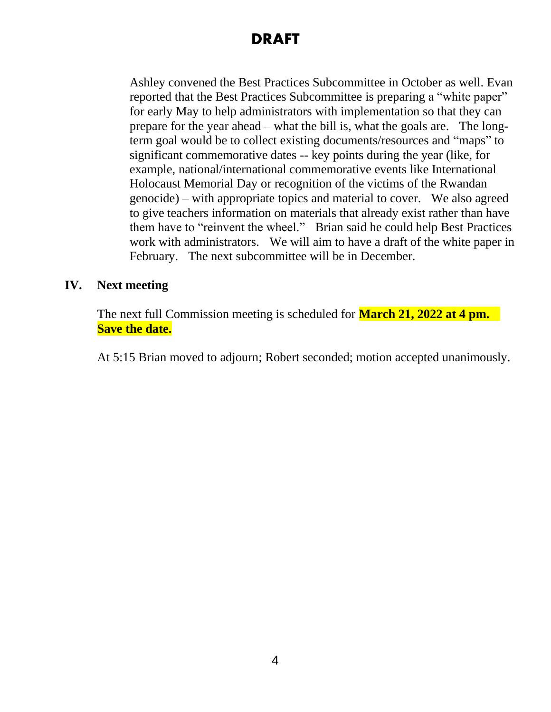Ashley convened the Best Practices Subcommittee in October as well. Evan reported that the Best Practices Subcommittee is preparing a "white paper" for early May to help administrators with implementation so that they can prepare for the year ahead – what the bill is, what the goals are. The longterm goal would be to collect existing documents/resources and "maps" to significant commemorative dates -- key points during the year (like, for example, national/international commemorative events like International Holocaust Memorial Day or recognition of the victims of the Rwandan genocide) – with appropriate topics and material to cover. We also agreed to give teachers information on materials that already exist rather than have them have to "reinvent the wheel." Brian said he could help Best Practices work with administrators. We will aim to have a draft of the white paper in February. The next subcommittee will be in December.

### **IV. Next meeting**

The next full Commission meeting is scheduled for **March 21, 2022 at 4 pm. Save the date.** 

At 5:15 Brian moved to adjourn; Robert seconded; motion accepted unanimously.